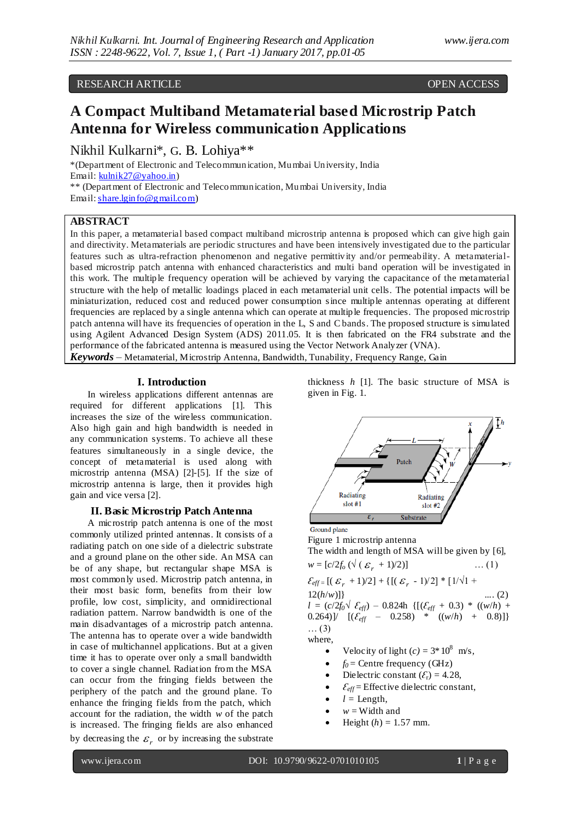# RESEARCH ARTICLE OPEN ACCESS

# **A Compact Multiband Metamaterial based Microstrip Patch Antenna for Wireless communication Applications**

Nikhil Kulkarni\*, G. B. Lohiya\*\*

\*(Department of Electronic and Telecommunication, Mumbai University, India Email: [kulnik27@yahoo.in\)](mailto:kulnik27@yahoo.in) \*\* (Department of Electronic and Telecommunication, Mumbai University, India Email: share.lgin fo@gmail.com)

## **ABSTRACT**

In this paper, a metamaterial based compact multiband microstrip antenna is proposed which can give high gain and directivity. Metamaterials are periodic structures and have been intensively investigated due to the particular features such as ultra-refraction phenomenon and negative permittivity and/or permeability. A metamaterialbased microstrip patch antenna with enhanced characteristics and multi band operation will be investigated in this work. The multiple frequency operation will be achieved by varying the capacitance of the metamaterial structure with the help of metallic loadings placed in each metamaterial unit cells. The potential impacts will be miniaturization, reduced cost and reduced power consumption since multiple antennas operating at different frequencies are replaced by a single antenna which can operate at multiple frequencies. The proposed microstrip patch antenna will have its frequencies of operation in the L, S and C bands. The proposed structure is simulated using Agilent Advanced Design System (ADS) 2011.05. It is then fabricated on the FR4 substrate and the performance of the fabricated antenna is measured using the Vector Network Analyzer (VNA). *Keywords* – Metamaterial, Microstrip Antenna, Bandwidth, Tunability, Frequency Range, Gain

#### **I. Introduction**

In wireless applications different antennas are required for different applications [1]. This increases the size of the wireless communication. Also high gain and high bandwidth is needed in any communication systems. To achieve all these features simultaneously in a single device, the concept of metamaterial is used along with microstrip antenna (MSA) [2]-[5]. If the size of microstrip antenna is large, then it provides high gain and vice versa [2].

## **II. Basic Microstrip Patch Antenna**

A microstrip patch antenna is one of the most commonly utilized printed antennas. It consists of a radiating patch on one side of a dielectric substrate and a ground plane on the other side. An MSA can be of any shape, but rectangular shape MSA is most commonly used. Microstrip patch antenna, in their most basic form, benefits from their low profile, low cost, simplicity, and omnidirectional radiation pattern. Narrow bandwidth is one of the main disadvantages of a microstrip patch antenna. The antenna has to operate over a wide bandwidth in case of multichannel applications. But at a given time it has to operate over only a small bandwidth to cover a single channel. Radiation from the MSA can occur from the fringing fields between the periphery of the patch and the ground plane. To enhance the fringing fields from the patch, which account for the radiation, the width *w* of the patch is increased. The fringing fields are also enhanced by decreasing the  $\varepsilon_r$  or by increasing the substrate thickness *h* [1]. The basic structure of MSA is given in Fig. 1.



Ground plane

Figure 1 microstrip antenna The width and length of MSA will be given by [6],  $+1$ )/2<sup>3</sup>

$$
w = [c/2f_0 \left(\sqrt{(\varepsilon_r + 1)/2}\right)] \qquad \dots (1)
$$
  
\n
$$
\mathcal{E}_{eff} = [(\varepsilon_r + 1)/2] + \{[(\varepsilon_r - 1)/2] * [1/\sqrt{1} + 12(h/w)]\} \qquad \dots (2)
$$
  
\n
$$
l = (c/2f_0 \sqrt{\varepsilon_{eff}}) - 0.824h \{[(\varepsilon_{eff} + 0.3) * ((w/h) + 0.264)] / [( \varepsilon_{eff} - 0.258) * ((w/h) + 0.8)]\}
$$
  
\n
$$
\dots (3)
$$
  
\nwhere,

- Velocity of light  $(c) = 3 * 10^8$  m/s,
- $f_0$  = Centre frequency (GHz)
- Dielectric constant  $(\mathcal{E}_r) = 4.28$ ,
- $\mathcal{E}_{\text{eff}}$  = Effective dielectric constant,
- $l =$  Length,
- $w =$ Width and
- Height  $(h) = 1.57$  mm.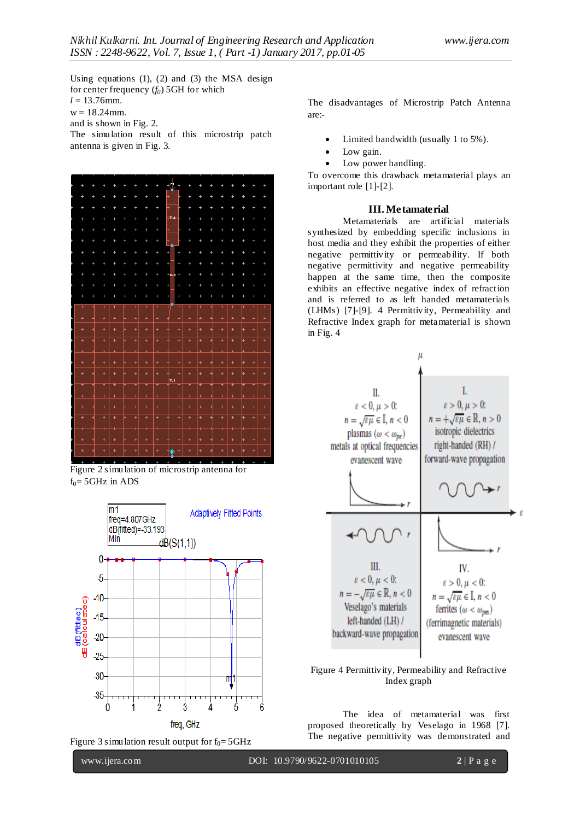Using equations (1), (2) and (3) the MSA design for center frequency (*f0*) 5GH for which  $l = 13.76$  mm.  $w = 18.24$  mm. and is shown in Fig. 2.

The simulation result of this microstrip patch antenna is given in Fig. 3.



Figure 2 simulation of microstrip antenna for  $f_0 = 5$ GHz in ADS



Figure 3 simulation result output for  $f_0 = 5 \text{GHz}$ 

The disadvantages of Microstrip Patch Antenna are:-

- Limited bandwidth (usually 1 to 5%).
- Low gain.
- Low power handling.

To overcome this drawback metamaterial plays an important role [1]-[2].

## **III.Metamaterial**

Metamaterials are artificial materials synthesized by embedding specific inclusions in host media and they exhibit the properties of either negative permittivity or permeability. If both negative permittivity and negative permeability happen at the same time, then the composite exhibits an effective negative index of refraction and is referred to as left handed metamaterials (LHMs) [7]-[9]. 4 Permittivity, Permeability and Refractive Index graph for metamaterial is shown in Fig. 4



## Figure 4 Permittivity, Permeability and Refractive Index graph

The idea of metamaterial was first proposed theoretically by Veselago in 1968 [7]. The negative permittivity was demonstrated and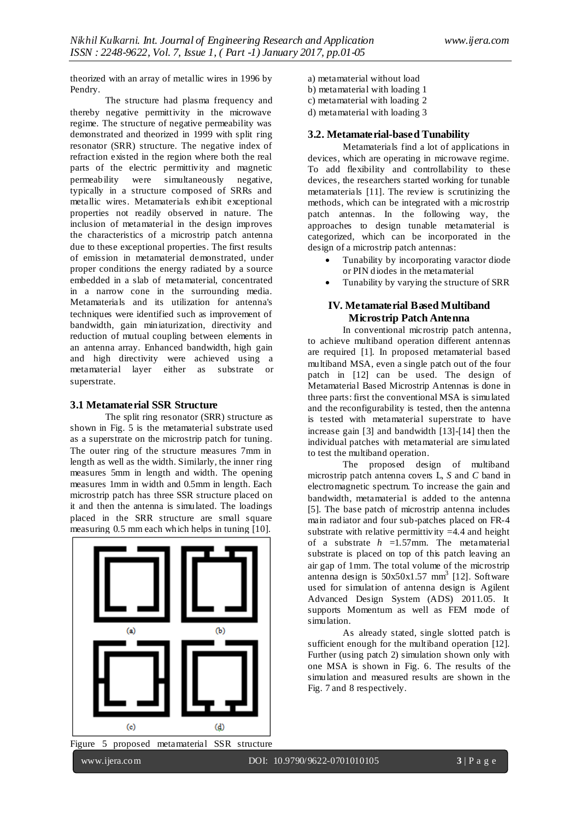theorized with an array of metallic wires in 1996 by Pendry.

The structure had plasma frequency and thereby negative permittivity in the microwave regime. The structure of negative permeability was demonstrated and theorized in 1999 with split ring resonator (SRR) structure. The negative index of refraction existed in the region where both the real parts of the electric permittivity and magnetic permeability were simultaneously negative, typically in a structure composed of SRRs and metallic wires. Metamaterials exhibit exceptional properties not readily observed in nature. The inclusion of metamaterial in the design improves the characteristics of a microstrip patch antenna due to these exceptional properties. The first results of emission in metamaterial demonstrated, under proper conditions the energy radiated by a source embedded in a slab of metamaterial, concentrated in a narrow cone in the surrounding media. Metamaterials and its utilization for antenna's techniques were identified such as improvement of bandwidth, gain miniaturization, directivity and reduction of mutual coupling between elements in an antenna array. Enhanced bandwidth, high gain and high directivity were achieved using a metamaterial layer either as substrate or superstrate.

#### **3.1 Metamaterial SSR Structure**

The split ring resonator (SRR) structure as shown in Fig. 5 is the metamaterial substrate used as a superstrate on the microstrip patch for tuning. The outer ring of the structure measures 7mm in length as well as the width. Similarly, the inner ring measures 5mm in length and width. The opening measures 1mm in width and 0.5mm in length. Each microstrip patch has three SSR structure placed on it and then the antenna is simulated. The loadings placed in the SRR structure are small square measuring 0.5 mm each which helps in tuning [10].



Figure 5 proposed metamaterial SSR structure

a) metamaterial without load b) metamaterial with loading 1 c) metamaterial with loading 2 d) metamaterial with loading 3

#### **3.2. Metamaterial-based Tunability**

Metamaterials find a lot of applications in devices, which are operating in microwave regime. To add flexibility and controllability to these devices, the researchers started working for tunable metamaterials [11]. The review is scrutinizing the methods, which can be integrated with a microstrip patch antennas. In the following way, the approaches to design tunable metamaterial is categorized, which can be incorporated in the design of a microstrip patch antennas:

- Tunability by incorporating varactor diode or PIN diodes in the metamaterial
- Tunability by varying the structure of SRR

## **IV. Metamaterial Based Multiband Microstrip Patch Antenna**

In conventional microstrip patch antenna, to achieve multiband operation different antennas are required [1]. In proposed metamaterial based multiband MSA, even a single patch out of the four patch in [12] can be used. The design of Metamaterial Based Microstrip Antennas is done in three parts: first the conventional MSA is simulated and the reconfigurability is tested, then the antenna is tested with metamaterial superstrate to have increase gain [3] and bandwidth [13]-[14] then the individual patches with metamaterial are simulated to test the multiband operation.

The proposed design of multiband microstrip patch antenna covers L, *S* and *C* band in electromagnetic spectrum. To increase the gain and bandwidth, metamaterial is added to the antenna [5]. The base patch of microstrip antenna includes main radiator and four sub-patches placed on FR-4 substrate with relative permittivity  $=4.4$  and height of a substrate *h* =1.57mm. The metamaterial substrate is placed on top of this patch leaving an air gap of 1mm. The total volume of the microstrip antenna design is 50x50x1.57 mm 3 [12]. Software used for simulation of antenna design is Agilent Advanced Design System (ADS) 2011.05. It supports Momentum as well as FEM mode of simulation.

As already stated, single slotted patch is sufficient enough for the multiband operation [12]. Further (using patch 2) simulation shown only with one MSA is shown in Fig. 6. The results of the simulation and measured results are shown in the Fig. 7 and 8 respectively.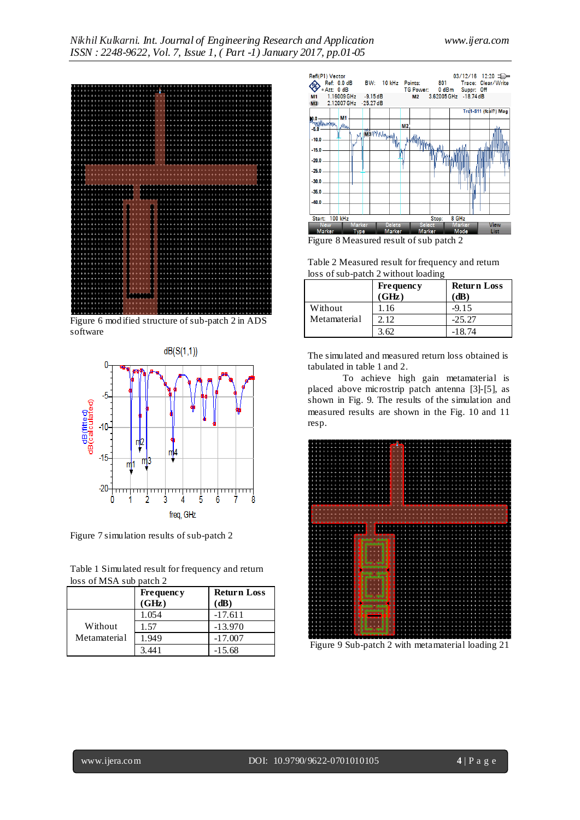

Figure 6 modified structure of sub-patch 2 in ADS software



Figure 7 simulation results of sub-patch 2

| Table 1 Simulated result for frequency and return |  |
|---------------------------------------------------|--|
| loss of MSA sub patch 2                           |  |

|                         | <b>Frequency</b><br>(GHz) | <b>Return Loss</b><br>$(d\mathbf{B})$ |
|-------------------------|---------------------------|---------------------------------------|
| Without<br>Metamaterial | 1.054                     | $-17.611$                             |
|                         | 1.57                      | $-13.970$                             |
|                         | 1.949                     | $-17.007$                             |
|                         | 3 44 1                    | $-15.68$                              |



Figure 8 Measured result of sub patch 2

Table 2 Measured result for frequency and return loss of sub-patch 2 without loading

|              | <b>Frequency</b><br>(GHz) | <b>Return Loss</b><br>$(d\mathbf{B})$ |
|--------------|---------------------------|---------------------------------------|
| Without      | 1.16                      | $-9.15$                               |
| Metamaterial | 2.12                      | $-25.27$                              |
|              | 3.62                      | $-18.74$                              |

The simulated and measured return loss obtained is tabulated in table 1 and 2.

To achieve high gain metamaterial is placed above microstrip patch antenna [3]-[5], as shown in Fig. 9. The results of the simulation and measured results are shown in the Fig. 10 and 11 resp.



Figure 9 Sub-patch 2 with metamaterial loading 21